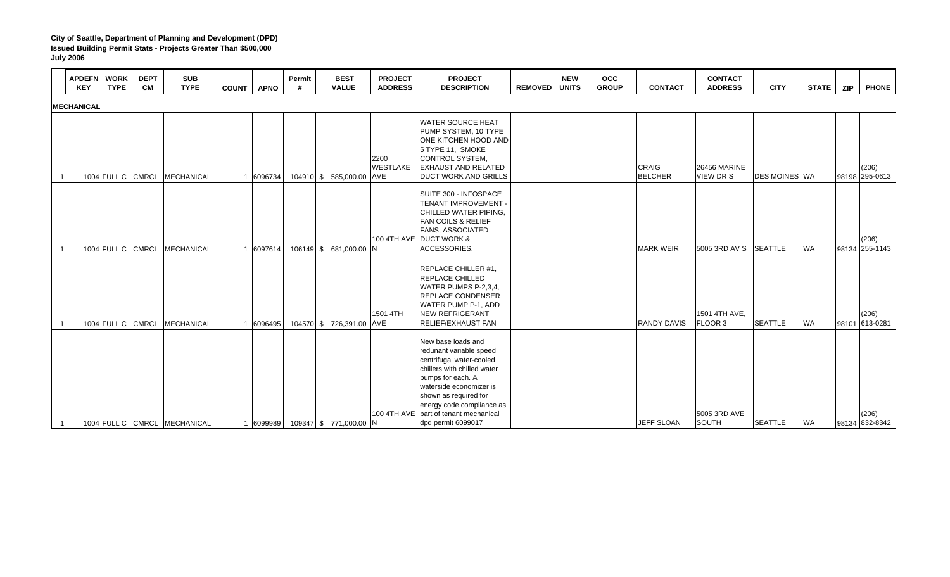|                | <b>APDEFN</b><br><b>KEY</b> | <b>WORK</b><br><b>TYPE</b> | <b>DEPT</b><br><b>CM</b> | <b>SUB</b><br><b>TYPE</b>    | <b>COUNT</b> | <b>APNO</b> | Permit<br># | <b>BEST</b><br><b>VALUE</b> | <b>PROJECT</b><br><b>ADDRESS</b> | <b>PROJECT</b><br><b>DESCRIPTION</b>                                                                                                                                                                                                                                          | <b>REMOVED UNITS</b> | <b>NEW</b> | <b>OCC</b><br><b>GROUP</b> | <b>CONTACT</b>                 | <b>CONTACT</b><br><b>ADDRESS</b> | <b>CITY</b>          | <b>STATE</b> | <b>ZIP</b> | <b>PHONE</b>            |
|----------------|-----------------------------|----------------------------|--------------------------|------------------------------|--------------|-------------|-------------|-----------------------------|----------------------------------|-------------------------------------------------------------------------------------------------------------------------------------------------------------------------------------------------------------------------------------------------------------------------------|----------------------|------------|----------------------------|--------------------------------|----------------------------------|----------------------|--------------|------------|-------------------------|
|                | <b>MECHANICAL</b>           |                            |                          |                              |              |             |             |                             |                                  |                                                                                                                                                                                                                                                                               |                      |            |                            |                                |                                  |                      |              |            |                         |
| $\overline{1}$ |                             | 1004 FULL C CMRCL          |                          | <b>MECHANICAL</b>            |              | 1 6096734   |             | 104910 \$ 585,000.00 AVE    | 2200<br><b>WESTLAKE</b>          | <b>WATER SOURCE HEAT</b><br>PUMP SYSTEM, 10 TYPE<br>ONE KITCHEN HOOD AND<br>5 TYPE 11, SMOKE<br>CONTROL SYSTEM,<br><b>EXHAUST AND RELATED</b><br><b>DUCT WORK AND GRILLS</b>                                                                                                  |                      |            |                            | <b>CRAIG</b><br><b>BELCHER</b> | 26456 MARINE<br>VIEW DR S        | <b>DES MOINES WA</b> |              |            | (206)<br>98198 295-0613 |
|                |                             |                            |                          | 1004 FULL C CMRCL MECHANICAL |              | 1 6097614   |             | 106149 \$ 681,000.00 N      |                                  | SUITE 300 - INFOSPACE<br>TENANT IMPROVEMENT -<br>CHILLED WATER PIPING,<br><b>FAN COILS &amp; RELIEF</b><br><b>FANS: ASSOCIATED</b><br>100 4TH AVE DUCT WORK &<br>ACCESSORIES.                                                                                                 |                      |            |                            | <b>MARK WEIR</b>               | 5005 3RD AV S SEATTLE            |                      | <b>WA</b>    |            | (206)<br>98134 255-1143 |
| $\overline{1}$ |                             | 1004 FULL C CMRCL          |                          | <b>MECHANICAL</b>            |              | 1 6096495   |             | 104570 \$726,391.00 AVE     | 1501 4TH                         | REPLACE CHILLER #1,<br>REPLACE CHILLED<br>WATER PUMPS P-2,3,4,<br><b>REPLACE CONDENSER</b><br>WATER PUMP P-1, ADD<br><b>NEW REFRIGERANT</b><br><b>RELIEF/EXHAUST FAN</b>                                                                                                      |                      |            |                            | <b>RANDY DAVIS</b>             | 1501 4TH AVE,<br>FLOOR 3         | <b>SEATTLE</b>       | <b>WA</b>    |            | (206)<br>98101 613-0281 |
|                |                             |                            |                          | 1004 FULL C CMRCL MECHANICAL |              | 1 6099989   |             | 109347 \$771,000.00 N       |                                  | New base loads and<br>redunant variable speed<br>centrifugal water-cooled<br>chillers with chilled water<br>pumps for each. A<br>waterside economizer is<br>shown as required for<br>energy code compliance as<br>100 4TH AVE part of tenant mechanical<br>dpd permit 6099017 |                      |            |                            | JEFF SLOAN                     | 5005 3RD AVE<br>SOUTH            | <b>SEATTLE</b>       | <b>WA</b>    |            | (206)<br>98134 832-8342 |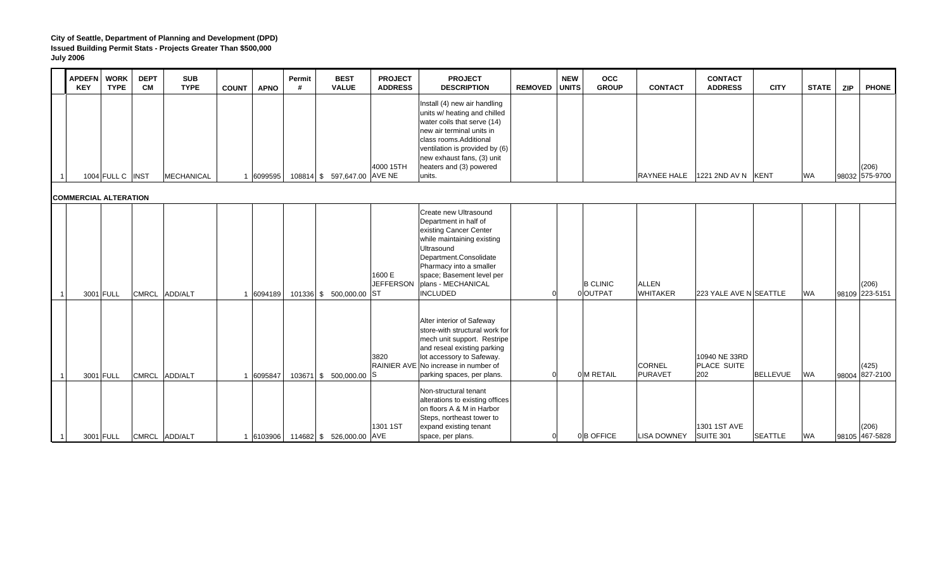|           | <b>APDEFN</b><br><b>KEY</b>  | <b>WORK</b><br><b>TYPE</b> | <b>DEPT</b><br><b>CM</b> | <b>SUB</b><br><b>TYPE</b> | <b>COUNT</b> | <b>APNO</b> | Permit<br># | <b>BEST</b><br><b>VALUE</b> | <b>PROJECT</b><br><b>ADDRESS</b> | <b>PROJECT</b><br><b>DESCRIPTION</b>                                                                                                                                                                                                                    | <b>REMOVED</b> | <b>NEW</b><br><b>UNITS</b> | <b>OCC</b><br><b>GROUP</b>  | <b>CONTACT</b>                  | <b>CONTACT</b><br><b>ADDRESS</b>    | <b>CITY</b>     | <b>STATE</b> | <b>ZIP</b> | <b>PHONE</b>            |
|-----------|------------------------------|----------------------------|--------------------------|---------------------------|--------------|-------------|-------------|-----------------------------|----------------------------------|---------------------------------------------------------------------------------------------------------------------------------------------------------------------------------------------------------------------------------------------------------|----------------|----------------------------|-----------------------------|---------------------------------|-------------------------------------|-----------------|--------------|------------|-------------------------|
| -1        | <b>COMMERCIAL ALTERATION</b> | 1004 FULL C   INST         |                          | <b>MECHANICAL</b>         |              | 1 6099595   |             | 108814 \$ 597,647.00 AVE NE | 4000 15TH                        | Install (4) new air handling<br>units w/ heating and chilled<br>water coils that serve (14)<br>new air terminal units in<br>class rooms.Additional<br>ventilation is provided by (6)<br>new exhaust fans, (3) unit<br>heaters and (3) powered<br>units. |                |                            |                             | RAYNEE HALE                     | 1221 2ND AV N   KENT                |                 | <b>WA</b>    |            | (206)<br>98032 575-9700 |
| 11        |                              | 3001 FULL                  | <b>CMRCL</b>             | ADD/ALT                   |              | 1 6094189   |             | 101336 \$ 500,000.00 ST     | 1600 E<br><b>JEFFERSON</b>       | Create new Ultrasound<br>Department in half of<br>existing Cancer Center<br>while maintaining existing<br>Ultrasound<br>Department.Consolidate<br>Pharmacy into a smaller<br>space; Basement level per<br>plans - MECHANICAL<br><b>INCLUDED</b>         |                |                            | <b>B CLINIC</b><br>0 OUTPAT | <b>ALLEN</b><br><b>WHITAKER</b> | 223 YALE AVE N SEATTLE              |                 | <b>WA</b>    |            | (206)<br>98109 223-5151 |
| $\vert$ 1 |                              | 3001 FULL                  | <b>CMRCL</b>             | ADD/ALT                   |              | 1 6095847   |             | 103671 \$ 500,000.00        | 3820<br>lS.                      | Alter interior of Safeway<br>store-with structural work for<br>mech unit support. Restripe<br>and reseal existing parking<br>lot accessory to Safeway.<br>RAINIER AVE No increase in number of<br>parking spaces, per plans.                            | <sub>0</sub>   |                            | 0 M RETAIL                  | <b>CORNEL</b><br><b>PURAVET</b> | 10940 NE 33RD<br>PLACE SUITE<br>202 | <b>BELLEVUE</b> | <b>WA</b>    | 98004      | (425)<br>827-2100       |
| 11        |                              | 3001 FULL                  |                          | CMRCL ADD/ALT             |              | 1 6103906   |             | 114682 \$ 526,000.00 AVE    | 1301 1ST                         | Non-structural tenant<br>alterations to existing offices<br>on floors A & M in Harbor<br>Steps, northeast tower to<br>expand existing tenant<br>space, per plans.                                                                                       | 0              |                            | 0B OFFICE                   | <b>LISA DOWNEY</b>              | 1301 1ST AVE<br>SUITE 301           | <b>SEATTLE</b>  | <b>WA</b>    |            | (206)<br>98105 467-5828 |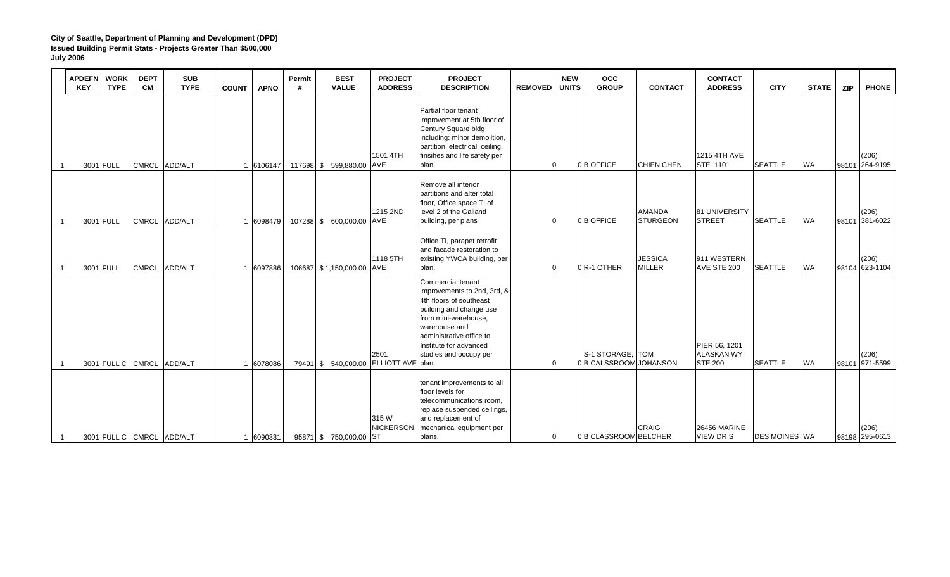|    | <b>APDEFN</b><br><b>KEY</b> | <b>WORK</b><br><b>TYPE</b> | <b>DEPT</b><br><b>CM</b> | <b>SUB</b><br><b>TYPE</b> | <b>COUNT</b> | <b>APNO</b> | Permit<br># | <b>BEST</b><br><b>VALUE</b>           | <b>PROJECT</b><br><b>ADDRESS</b> | <b>PROJECT</b><br><b>DESCRIPTION</b>                                                                                                                                                                                            | <b>REMOVED</b> | <b>NEW</b><br><b>UNITS</b> | <b>OCC</b><br><b>GROUP</b>                 | <b>CONTACT</b>                   | <b>CONTACT</b><br><b>ADDRESS</b>                     | <b>CITY</b>          | <b>STATE</b> | <b>PHONE</b><br><b>ZIP</b> |
|----|-----------------------------|----------------------------|--------------------------|---------------------------|--------------|-------------|-------------|---------------------------------------|----------------------------------|---------------------------------------------------------------------------------------------------------------------------------------------------------------------------------------------------------------------------------|----------------|----------------------------|--------------------------------------------|----------------------------------|------------------------------------------------------|----------------------|--------------|----------------------------|
| 11 | 3001 FULL                   |                            | <b>CMRCL</b>             | ADD/ALT                   | 1 6106147    |             |             | 117698 \$ 599,880.00 AVE              | 1501 4TH                         | Partial floor tenant<br>improvement at 5th floor of<br>Century Square bldg<br>including: minor demolition,<br>partition, electrical, ceiling,<br>finsihes and life safety per<br>plan.                                          | U              |                            | 0B OFFICE                                  | <b>CHIEN CHEN</b>                | <b>1215 4TH AVE</b><br><b>STE 1101</b>               | <b>SEATTLE</b>       | <b>WA</b>    | (206)<br>98101 264-9195    |
|    | 3001 FULL                   |                            | <b>CMRCL</b>             | ADD/ALT                   | 1 6098479    |             |             | 107288 \$ 600,000.00 AVE              | 1215 2ND                         | Remove all interior<br>partitions and alter total<br>floor, Office space TI of<br>level 2 of the Galland<br>building, per plans                                                                                                 | $\Omega$       |                            | 0B OFFICE                                  | <b>AMANDA</b><br><b>STURGEON</b> | <b>81 UNIVERSITY</b><br><b>STREET</b>                | <b>SEATTLE</b>       | <b>WA</b>    | (206)<br>381-6022<br>98101 |
|    | 3001 FULL                   |                            | <b>CMRCL</b>             | ADD/ALT                   | 1 6097886    |             |             | 106687 \$1,150,000.00 AVE             | 1118 5TH                         | Office TI, parapet retrofit<br>and facade restoration to<br>existing YWCA building, per<br>plan.                                                                                                                                | $\Omega$       |                            | 0R-1 OTHER                                 | <b>JESSICA</b><br><b>MILLER</b>  | 911 WESTERN<br>AVE STE 200                           | <b>SEATTLE</b>       | <b>WA</b>    | (206)<br>98104 623-1104    |
| 11 |                             |                            |                          | 3001 FULL C CMRCL ADD/ALT | 1 6078086    |             |             | 79491 \$ 540,000.00 ELLIOTT AVE plan. | 2501                             | Commercial tenant<br>improvements to 2nd, 3rd, &<br>4th floors of southeast<br>building and change use<br>from mini-warehouse,<br>warehouse and<br>administrative office to<br>Institute for advanced<br>studies and occupy per |                |                            | S-1 STORAGE, TOM<br>0 B CALSSROOM JOHANSON |                                  | PIER 56, 1201<br><b>ALASKAN WY</b><br><b>STE 200</b> | <b>SEATTLE</b>       | <b>WA</b>    | (206)<br>98101 971-5599    |
| 1  |                             |                            |                          | 3001 FULL C CMRCL ADD/ALT | 1 6090331    |             |             | 95871 \$750,000.00 ST                 | 315 W<br><b>NICKERSON</b>        | tenant improvements to all<br>floor levels for<br>telecommunications room,<br>replace suspended ceilings,<br>and replacement of<br>mechanical equipment per<br>plans.                                                           |                | 0                          | 0B CLASSROOM BELCHER                       | <b>CRAIG</b>                     | 26456 MARINE<br>VIEW DR S                            | <b>DES MOINES WA</b> |              | (206)<br>98198 295-0613    |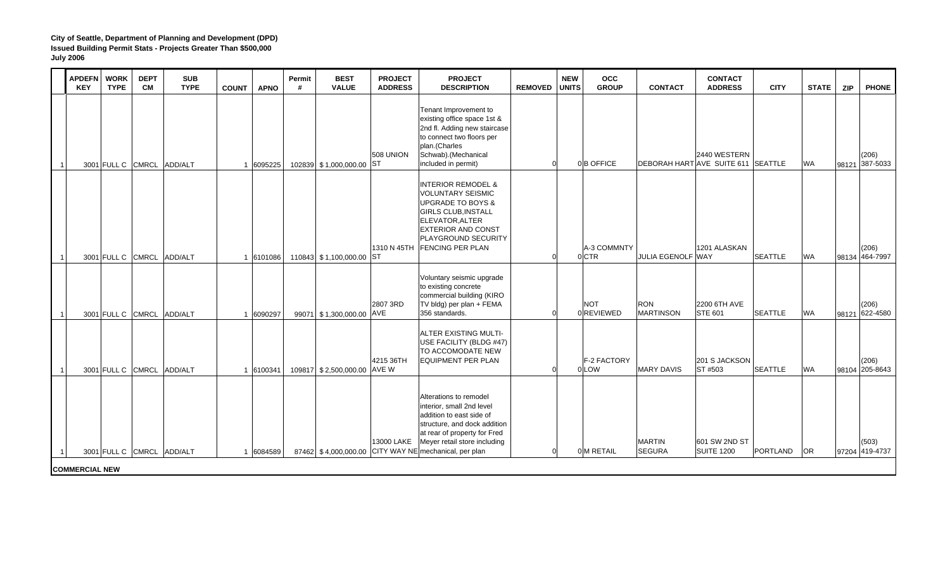|                | <b>APDEFN</b><br><b>KEY</b> | <b>WORK</b><br><b>TYPE</b> | <b>DEPT</b><br><b>CM</b> | <b>SUB</b><br><b>TYPE</b> | <b>APNO</b><br><b>COUNT</b> | Permit<br># | <b>BEST</b><br><b>VALUE</b> | <b>PROJECT</b><br><b>ADDRESS</b> | <b>PROJECT</b><br><b>DESCRIPTION</b>                                                                                                                                                                                                     | <b>REMOVED</b> | <b>NEW</b><br><b>UNITS</b> | <b>OCC</b><br><b>GROUP</b> | <b>CONTACT</b>                 | <b>CONTACT</b><br><b>ADDRESS</b>                          | <b>CITY</b>     | <b>STATE</b> | <b>ZIP</b> | <b>PHONE</b>            |
|----------------|-----------------------------|----------------------------|--------------------------|---------------------------|-----------------------------|-------------|-----------------------------|----------------------------------|------------------------------------------------------------------------------------------------------------------------------------------------------------------------------------------------------------------------------------------|----------------|----------------------------|----------------------------|--------------------------------|-----------------------------------------------------------|-----------------|--------------|------------|-------------------------|
| $\overline{1}$ |                             |                            |                          | 3001 FULL C CMRCL ADD/ALT | 1 6095225                   |             | 102839 \$1,000,000.00 ST    | <b>508 UNION</b>                 | Tenant Improvement to<br>existing office space 1st &<br>2nd fl. Adding new staircase<br>to connect two floors per<br>plan.(Charles<br>Schwab).(Mechanical<br>included in permit)                                                         |                |                            | 0B OFFICE                  |                                | 2440 WESTERN<br><b>DEBORAH HART AVE SUITE 611 SEATTLE</b> |                 | <b>WA</b>    |            | (206)<br>98121 387-5033 |
|                |                             | 3001 FULL C CMRCL          |                          | ADD/ALT                   | 1 6101086                   |             | 110843 \$1,100,000.00       | 1310 N 45TH<br><b>ST</b>         | <b>INTERIOR REMODEL &amp;</b><br><b>VOLUNTARY SEISMIC</b><br><b>UPGRADE TO BOYS &amp;</b><br><b>GIRLS CLUB, INSTALL</b><br>ELEVATOR, ALTER<br><b>EXTERIOR AND CONST</b><br>PLAYGROUND SECURITY<br><b>FENCING PER PLAN</b>                |                | 0 CTR                      | A-3 COMMNTY                | <b>JULIA EGENOLF WAY</b>       | 1201 ALASKAN                                              | <b>SEATTLE</b>  | <b>WA</b>    |            | (206)<br>98134 464-7997 |
|                |                             | 3001 FULL C CMRCL          |                          | ADD/ALT                   | 1 6090297                   |             | 99071 \$1,300,000.00        | 2807 3RD<br>AVE                  | Voluntary seismic upgrade<br>to existing concrete<br>commercial building (KIRO<br>TV bldg) per plan + FEMA<br>356 standards.                                                                                                             |                |                            | <b>NOT</b><br>0REVIEWED    | <b>RON</b><br><b>MARTINSON</b> | 2200 6TH AVE<br><b>STE 601</b>                            | <b>SEATTLE</b>  | <b>WA</b>    |            | (206)<br>98121 622-4580 |
| 11             |                             | 3001 FULL C CMRCL          |                          | ADD/ALT                   | 1 6100341                   |             | 109817 \$2,500,000.00       | 4215 36TH<br>AVE W               | <b>ALTER EXISTING MULTI-</b><br>USE FACILITY (BLDG #47)<br>TO ACCOMODATE NEW<br><b>EQUIPMENT PER PLAN</b>                                                                                                                                |                |                            | F-2 FACTORY<br>0 LOW       | <b>MARY DAVIS</b>              | 201 S JACKSON<br>ST #503                                  | <b>SEATTLE</b>  | <b>WA</b>    |            | (206)<br>98104 205-8643 |
|                |                             |                            |                          | 3001 FULL C CMRCL ADD/ALT | 1 6084589                   |             |                             | 13000 LAKE                       | Alterations to remodel<br>interior, small 2nd level<br>addition to east side of<br>structure, and dock addition<br>at rear of property for Fred<br>Meyer retail store including<br>87462 \$4,000,000.00 CITY WAY NE mechanical, per plan |                |                            | 0 M RETAIL                 | <b>MARTIN</b><br><b>SEGURA</b> | 601 SW 2ND ST<br><b>SUITE 1200</b>                        | <b>PORTLAND</b> | <b>OR</b>    |            | (503)<br>97204 419-4737 |
|                | <b>COMMERCIAL NEW</b>       |                            |                          |                           |                             |             |                             |                                  |                                                                                                                                                                                                                                          |                |                            |                            |                                |                                                           |                 |              |            |                         |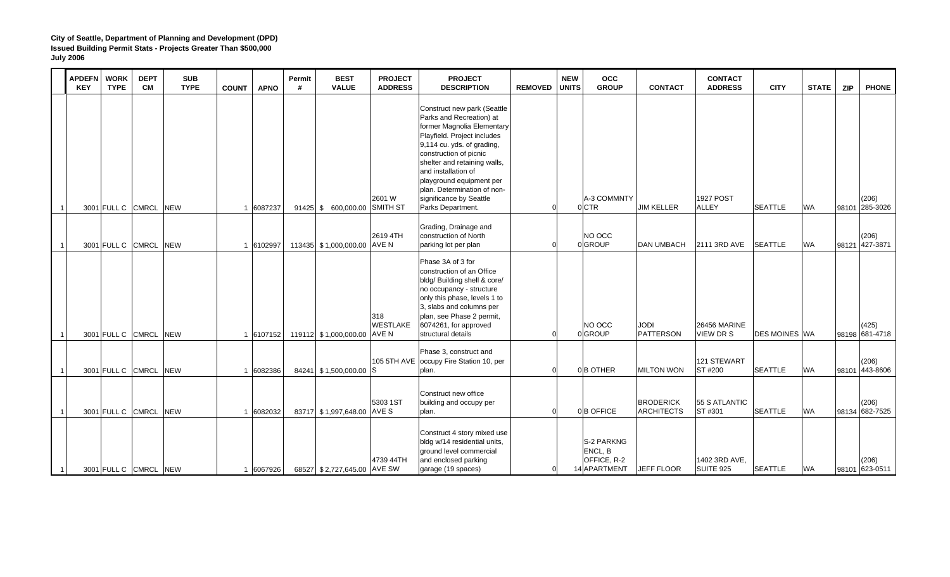| <b>APDEFN</b><br><b>KEY</b> | <b>WORK</b><br><b>TYPE</b> | <b>DEPT</b><br><b>CM</b> | <b>SUB</b><br><b>TYPE</b> | <b>COUNT</b> | <b>APNO</b> | Permit<br># | <b>BEST</b><br><b>VALUE</b>  | <b>PROJECT</b><br><b>ADDRESS</b> | <b>PROJECT</b><br><b>DESCRIPTION</b>                                                                                                                                                                                                                                                                                                           | <b>REMOVED</b> | <b>NEW</b><br><b>UNITS</b> | <b>OCC</b><br><b>GROUP</b>                                  | <b>CONTACT</b>                        | <b>CONTACT</b><br><b>ADDRESS</b>  | <b>CITY</b>          | <b>STATE</b> | <b>ZIP</b>     | <b>PHONE</b>            |
|-----------------------------|----------------------------|--------------------------|---------------------------|--------------|-------------|-------------|------------------------------|----------------------------------|------------------------------------------------------------------------------------------------------------------------------------------------------------------------------------------------------------------------------------------------------------------------------------------------------------------------------------------------|----------------|----------------------------|-------------------------------------------------------------|---------------------------------------|-----------------------------------|----------------------|--------------|----------------|-------------------------|
|                             | 3001 FULL C CMRCL          |                          | <b>NEW</b>                |              | 1 6087237   |             | 91425 \$ 600,000.00 SMITH ST | 2601 W                           | Construct new park (Seattle<br>Parks and Recreation) at<br>former Magnolia Elementary<br>Playfield. Project includes<br>9,114 cu. yds. of grading,<br>construction of picnic<br>shelter and retaining walls,<br>and installation of<br>playground equipment per<br>plan. Determination of non-<br>significance by Seattle<br>Parks Department. |                |                            | A-3 COMMNTY<br>0 CTR                                        | <b>JIM KELLER</b>                     | <b>1927 POST</b><br><b>ALLEY</b>  | <b>SEATTLE</b>       | <b>WA</b>    | 98101 285-3026 | (206)                   |
|                             | 3001 FULL C CMRCL          |                          | <b>NEW</b>                |              | 1 6102997   |             | 113435 \$1,000,000.00 AVE N  | 2619 4TH                         | Grading, Drainage and<br>construction of North<br>parking lot per plan                                                                                                                                                                                                                                                                         |                |                            | NO OCC<br>0 GROUP                                           | <b>DAN UMBACH</b>                     | 2111 3RD AVE                      | <b>SEATTLE</b>       | <b>WA</b>    | 98121 427-3871 | (206)                   |
|                             | 3001 FULL C CMRCL          |                          | <b>NEW</b>                |              | 1 6107152   |             | 119112 \$1,000,000.00 AVE N  | 318<br><b>WESTLAKE</b>           | Phase 3A of 3 for<br>construction of an Office<br>bldg/ Building shell & core/<br>no occupancy - structure<br>only this phase, levels 1 to<br>3, slabs and columns per<br>plan, see Phase 2 permit,<br>6074261, for approved<br>structural details                                                                                             |                |                            | NO OCC<br>0 GROUP                                           | <b>JODI</b><br><b>PATTERSON</b>       | 26456 MARINE<br><b>VIEW DR S</b>  | <b>DES MOINES WA</b> |              |                | (425)<br>98198 681-4718 |
|                             | 3001 FULL C CMRCL          |                          | <b>NEW</b>                |              | 1 6082386   |             | 84241 \$1,500,000.00 S       | 105 5TH AVE                      | Phase 3, construct and<br>occupy Fire Station 10, per<br>plan.                                                                                                                                                                                                                                                                                 |                |                            | 0B OTHER                                                    | <b>MILTON WON</b>                     | 121 STEWART<br>ST #200            | <b>SEATTLE</b>       | <b>WA</b>    | 98101          | (206)<br>443-8606       |
|                             |                            | 3001 FULL C CMRCL NEW    |                           |              | 1 6082032   |             | 83717 \$1,997,648.00 AVE S   | 5303 1ST                         | Construct new office<br>building and occupy per<br>plan.                                                                                                                                                                                                                                                                                       | $\Omega$       |                            | 0B OFFICE                                                   | <b>BRODERICK</b><br><b>ARCHITECTS</b> | 55 S ATLANTIC<br>ST #301          | <b>SEATTLE</b>       | <b>WA</b>    | 98134 682-7525 | (206)                   |
|                             |                            | 3001 FULL C CMRCL NEW    |                           |              | 6067926     |             | 68527 \$2,727,645.00 AVE SW  | 4739 44TH                        | Construct 4 story mixed use<br>bldg w/14 residential units,<br>ground level commercial<br>and enclosed parking<br>garage (19 spaces)                                                                                                                                                                                                           |                |                            | <b>S-2 PARKNG</b><br>ENCL, B<br>OFFICE, R-2<br>14 APARTMENT | <b>JEFF FLOOR</b>                     | 1402 3RD AVE,<br><b>SUITE 925</b> | <b>SEATTLE</b>       | <b>WA</b>    | 98101 623-0511 | (206)                   |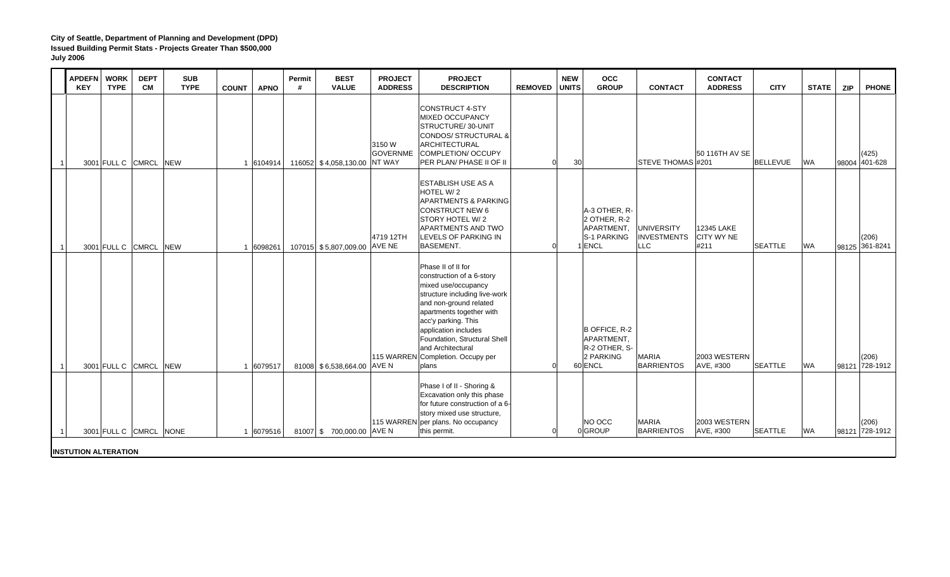|    | <b>APDEFN</b><br><b>KEY</b> | <b>WORK</b><br><b>TYPE</b> | <b>DEPT</b><br><b>CM</b> | <b>SUB</b><br><b>TYPE</b> | <b>COUNT</b> | <b>APNO</b> | Permit<br># | <b>BEST</b><br><b>VALUE</b>  | <b>PROJECT</b><br><b>ADDRESS</b> | <b>PROJECT</b><br><b>DESCRIPTION</b>                                                                                                                                                                                                                                                                 | <b>REMOVED</b> | <b>NEW</b><br><b>UNITS</b> | <b>OCC</b><br><b>GROUP</b>                                           | <b>CONTACT</b>                                 | <b>CONTACT</b><br><b>ADDRESS</b>        | <b>CITY</b>     | <b>STATE</b> | <b>ZIP</b> | <b>PHONE</b>            |
|----|-----------------------------|----------------------------|--------------------------|---------------------------|--------------|-------------|-------------|------------------------------|----------------------------------|------------------------------------------------------------------------------------------------------------------------------------------------------------------------------------------------------------------------------------------------------------------------------------------------------|----------------|----------------------------|----------------------------------------------------------------------|------------------------------------------------|-----------------------------------------|-----------------|--------------|------------|-------------------------|
|    |                             | 3001 FULL C CMRCL          |                          | <b>NEW</b>                |              | 1 6104914   |             | 116052 \$4,058,130.00 NT WAY | 3150 W<br><b>GOVERNME</b>        | <b>CONSTRUCT 4-STY</b><br><b>MIXED OCCUPANCY</b><br>STRUCTURE/30-UNIT<br>CONDOS/ STRUCTURAL &<br>ARCHITECTURAL<br>COMPLETION/ OCCUPY<br>PER PLAN/ PHASE II OF II                                                                                                                                     | <sub>0</sub>   | 30                         |                                                                      | STEVE THOMAS #201                              | 50 116TH AV SE                          | <b>BELLEVUE</b> | <b>WA</b>    | 98004      | (425)<br>401-628        |
|    |                             | 3001 FULL C CMRCL          |                          | <b>NEW</b>                |              | 1 6098261   |             | 107015 \$5,807,009.00 AVE NE | 4719 12TH                        | <b>ESTABLISH USE AS A</b><br>HOTEL W/2<br><b>APARTMENTS &amp; PARKING</b><br><b>CONSTRUCT NEW 6</b><br>STORY HOTEL W/2<br>APARTMENTS AND TWO<br>LEVELS OF PARKING IN<br><b>BASEMENT.</b>                                                                                                             |                |                            | A-3 OTHER, R-<br>2 OTHER, R-2<br>APARTMENT,<br>S-1 PARKING<br>1ENCL  | <b>UNIVERSITY</b><br><b>INVESTMENTS</b><br>LLC | 12345 LAKE<br><b>CITY WY NE</b><br>#211 | <b>SEATTLE</b>  | <b>WA</b>    |            | (206)<br>98125 361-8241 |
| -1 |                             | 3001 FULL C CMRCL          |                          | <b>NEW</b>                |              | 6079517     |             | 81008 \$6,538,664.00 AVE N   | 115 WARREN                       | Phase II of II for<br>construction of a 6-story<br>mixed use/occupancy<br>structure including live-work<br>and non-ground related<br>apartments together with<br>acc'y parking. This<br>application includes<br>Foundation, Structural Shell<br>and Architectural<br>Completion. Occupy per<br>plans | ΩI             |                            | B OFFICE, R-2<br>APARTMENT,<br>R-2 OTHER, S-<br>2 PARKING<br>60 ENCL | <b>MARIA</b><br><b>BARRIENTOS</b>              | 2003 WESTERN<br>AVE, #300               | <b>SEATTLE</b>  | <b>WA</b>    | 98121      | (206)<br>728-1912       |
|    | <b>INSTUTION ALTERATION</b> | 3001 FULL C CMRCL NONE     |                          |                           |              | 1 6079516   |             | 81007 \$700,000.00 AVE N     |                                  | Phase I of II - Shoring &<br>Excavation only this phase<br>for future construction of a 6-<br>story mixed use structure,<br>115 WARREN per plans. No occupancy<br>this permit.                                                                                                                       | 0l             |                            | NO OCC<br>0GROUP                                                     | <b>MARIA</b><br><b>BARRIENTOS</b>              | 2003 WESTERN<br>AVE, #300               | <b>SEATTLE</b>  | <b>WA</b>    |            | (206)<br>98121 728-1912 |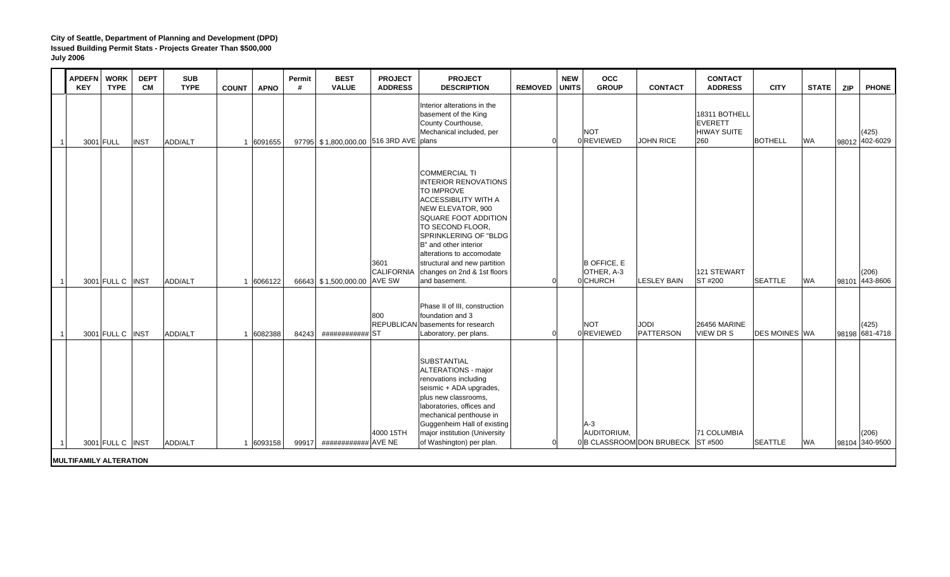|                | <b>APDEFN</b><br><b>KEY</b>   | <b>WORK</b><br><b>TYPE</b> | <b>DEPT</b><br><b>CM</b> | <b>SUB</b><br><b>TYPE</b> | <b>APNO</b><br><b>COUNT</b> | Permit<br># | <b>BEST</b><br><b>VALUE</b>            | <b>PROJECT</b><br><b>ADDRESS</b>    | <b>PROJECT</b><br><b>DESCRIPTION</b>                                                                                                                                                                                                                                                                                                           | <b>REMOVED</b> | <b>NEW</b><br><b>UNITS</b> | <b>OCC</b><br><b>GROUP</b>                   | <b>CONTACT</b>                    | <b>CONTACT</b><br><b>ADDRESS</b>                             | <b>CITY</b>          | <b>STATE</b> | <b>ZIP</b> | <b>PHONE</b>            |
|----------------|-------------------------------|----------------------------|--------------------------|---------------------------|-----------------------------|-------------|----------------------------------------|-------------------------------------|------------------------------------------------------------------------------------------------------------------------------------------------------------------------------------------------------------------------------------------------------------------------------------------------------------------------------------------------|----------------|----------------------------|----------------------------------------------|-----------------------------------|--------------------------------------------------------------|----------------------|--------------|------------|-------------------------|
| $\overline{1}$ |                               | 3001 FULL                  | <b>INST</b>              | ADD/ALT                   | 1 6091655                   |             | 97795 \$1,800,000.00 516 3RD AVE plans |                                     | Interior alterations in the<br>basement of the King<br>County Courthouse,<br>Mechanical included, per                                                                                                                                                                                                                                          |                |                            | <b>NOT</b><br>0 REVIEWED                     | <b>JOHN RICE</b>                  | 18311 BOTHELL<br><b>EVERETT</b><br><b>HIWAY SUITE</b><br>260 | <b>BOTHELL</b>       | <b>WA</b>    |            | (425)<br>98012 402-6029 |
| 11             |                               | 3001 FULL C INST           |                          | ADD/ALT                   | 1 6066122                   |             | 66643 \$1,500,000.00                   | 3601<br><b>CALIFORNIA</b><br>AVE SW | <b>COMMERCIAL TI</b><br><b>INTERIOR RENOVATIONS</b><br><b>TO IMPROVE</b><br><b>ACCESSIBILITY WITH A</b><br>NEW ELEVATOR, 900<br>SQUARE FOOT ADDITION<br>TO SECOND FLOOR.<br><b>SPRINKLERING OF "BLDG</b><br>B" and other interior<br>alterations to accomodate<br>structural and new partition<br>changes on 2nd & 1st floors<br>and basement. | ∩              |                            | <b>B OFFICE, E</b><br>OTHER, A-3<br>0 CHURCH | <b>LESLEY BAIN</b>                | 121 STEWART<br>ST #200                                       | <b>SEATTLE</b>       | <b>WA</b>    | 98101      | (206)<br>443-8606       |
| 11             |                               | 3001 FULL C INST           |                          | ADD/ALT                   | 1 6082388                   | 84243       | ############ ST                        | 800                                 | Phase II of III, construction<br>foundation and 3<br><b>REPUBLICAN</b> basements for research<br>Laboratory, per plans.<br><b>SUBSTANTIAL</b>                                                                                                                                                                                                  |                |                            | <b>NOT</b><br>0 REVIEWED                     | <b>JODI</b><br><b>PATTERSON</b>   | <b>26456 MARINE</b><br><b>VIEW DR S</b>                      | <b>DES MOINES WA</b> |              |            | (425)<br>98198 681-4718 |
| 11             |                               | 3001 FULL C   INST         |                          | ADD/ALT                   | 1 6093158                   |             | 99917 ############# AVE NE             | 4000 15TH                           | <b>ALTERATIONS - major</b><br>renovations including<br>seismic + ADA upgrades,<br>plus new classrooms,<br>laboratories, offices and<br>mechanical penthouse in<br>Guggenheim Hall of existing<br>major institution (University<br>of Washington) per plan.                                                                                     |                |                            | $A-3$<br>AUDITORIUM.                         | 0 B CLASSROOM DON BRUBECK ST #500 | <b>71 COLUMBIA</b>                                           | <b>SEATTLE</b>       | <b>WA</b>    |            | (206)<br>98104 340-9500 |
|                | <b>MULTIFAMILY ALTERATION</b> |                            |                          |                           |                             |             |                                        |                                     |                                                                                                                                                                                                                                                                                                                                                |                |                            |                                              |                                   |                                                              |                      |              |            |                         |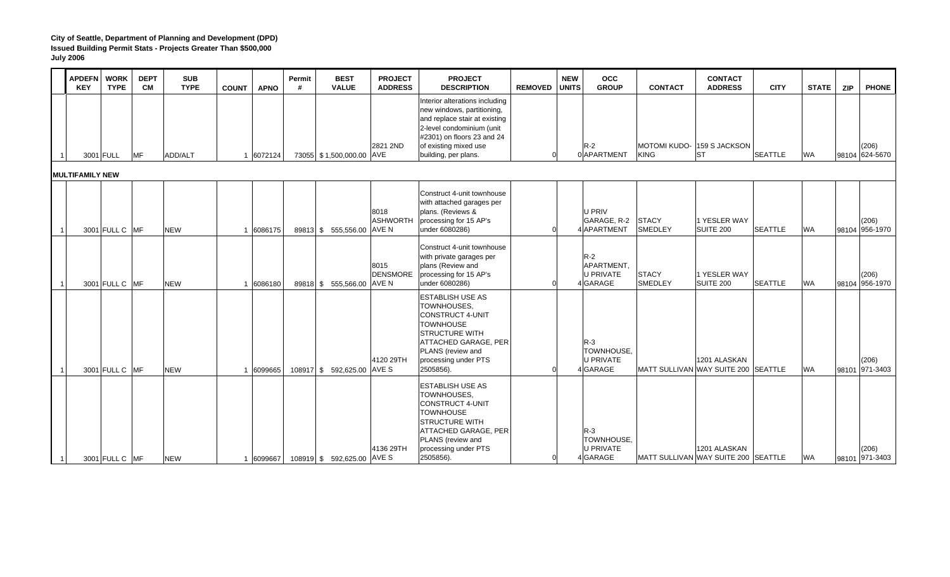|                | <b>APDEFN</b><br><b>KEY</b> | <b>WORK</b><br><b>TYPE</b> | <b>DEPT</b><br><b>CM</b> | <b>SUB</b><br><b>TYPE</b> | <b>COUNT</b> | <b>APNO</b> | Permit<br># | <b>BEST</b><br><b>VALUE</b> | <b>PROJECT</b><br><b>ADDRESS</b> | <b>PROJECT</b><br><b>DESCRIPTION</b>                                                                                                                                                                      | <b>REMOVED</b> | <b>NEW</b><br><b>UNITS</b> | $_{\rm occ}$<br><b>GROUP</b>                        | <b>CONTACT</b>                     | <b>CONTACT</b><br><b>ADDRESS</b>                    | <b>CITY</b>    | <b>STATE</b> | <b>ZIP</b>     | <b>PHONE</b> |
|----------------|-----------------------------|----------------------------|--------------------------|---------------------------|--------------|-------------|-------------|-----------------------------|----------------------------------|-----------------------------------------------------------------------------------------------------------------------------------------------------------------------------------------------------------|----------------|----------------------------|-----------------------------------------------------|------------------------------------|-----------------------------------------------------|----------------|--------------|----------------|--------------|
|                |                             | 3001 FULL                  | <b>MF</b>                | ADD/ALT                   |              | 1 6072124   |             | 73055 \$1,500,000.00 AVE    | 2821 2ND                         | Interior alterations including<br>new windows, partitioning,<br>and replace stair at existing<br>2-level condominium (unit<br>#2301) on floors 23 and 24<br>of existing mixed use<br>building, per plans. | $\Omega$       |                            | $R-2$<br>0 APARTMENT                                | MOTOMI KUDO- 159 S JACKSON<br>KING | <b>IST</b>                                          | <b>SEATTLE</b> | <b>WA</b>    | 98104 624-5670 | (206)        |
|                | <b>MULTIFAMILY NEW</b>      |                            |                          |                           |              |             |             |                             |                                  |                                                                                                                                                                                                           |                |                            |                                                     |                                    |                                                     |                |              |                |              |
| $\overline{1}$ |                             | 3001 FULL C MF             |                          | <b>NEW</b>                |              | 1 6086175   |             | 89813 \$ 555,556.00         | 8018<br><b>ASHWORTH</b><br>AVE N | Construct 4-unit townhouse<br>with attached garages per<br>plans. (Reviews &<br>processing for 15 AP's<br>under 6080286)                                                                                  |                |                            | U PRIV<br>GARAGE, R-2<br>4 APARTMENT                | <b>STACY</b><br>SMEDLEY            | 1 YESLER WAY<br><b>SUITE 200</b>                    | <b>SEATTLE</b> | <b>WA</b>    | 98104 956-1970 | (206)        |
| 11             |                             | 3001 FULL C MF             |                          | <b>NEW</b>                |              | 1 6086180   |             | 89818 \$ 555,566.00         | 8015<br><b>DENSMORE</b><br>AVE N | Construct 4-unit townhouse<br>with private garages per<br>plans (Review and<br>processing for 15 AP's<br>under 6080286)                                                                                   |                |                            | $R-2$<br>APARTMENT,<br>U PRIVATE<br>4 GARAGE        | <b>STACY</b><br><b>SMEDLEY</b>     | 1 YESLER WAY<br>SUITE 200                           | <b>SEATTLE</b> | <b>WA</b>    | 98104 956-1970 | (206)        |
| $\overline{1}$ |                             | 3001 FULL C MF             |                          | <b>NEW</b>                |              | 1 6099665   |             | 108917 \$ 592,625.00 AVE S  | 4120 29TH                        | <b>ESTABLISH USE AS</b><br>TOWNHOUSES.<br><b>CONSTRUCT 4-UNIT</b><br><b>TOWNHOUSE</b><br><b>STRUCTURE WITH</b><br><b>ATTACHED GARAGE, PER</b><br>PLANS (review and<br>processing under PTS<br>2505856).   | U              |                            | $R-3$<br>TOWNHOUSE,<br>U PRIVATE<br>4 GARAGE        |                                    | 1201 ALASKAN<br>MATT SULLIVAN WAY SUITE 200 SEATTLE |                | <b>WA</b>    | 98101 971-3403 | (206)        |
| 11             |                             | 3001 FULL C MF             |                          | <b>NEW</b>                |              | 1 6099667   |             | 108919 \$ 592,625.00 AVE S  | 4136 29TH                        | <b>ESTABLISH USE AS</b><br>TOWNHOUSES.<br><b>CONSTRUCT 4-UNIT</b><br><b>TOWNHOUSE</b><br><b>STRUCTURE WITH</b><br><b>ATTACHED GARAGE, PER</b><br>PLANS (review and<br>processing under PTS<br>2505856).   |                | <sub>0</sub>               | $R-3$<br>TOWNHOUSE,<br><b>U PRIVATE</b><br>4 GARAGE |                                    | 1201 ALASKAN<br>MATT SULLIVAN WAY SUITE 200 SEATTLE |                | <b>WA</b>    | 98101 971-3403 | (206)        |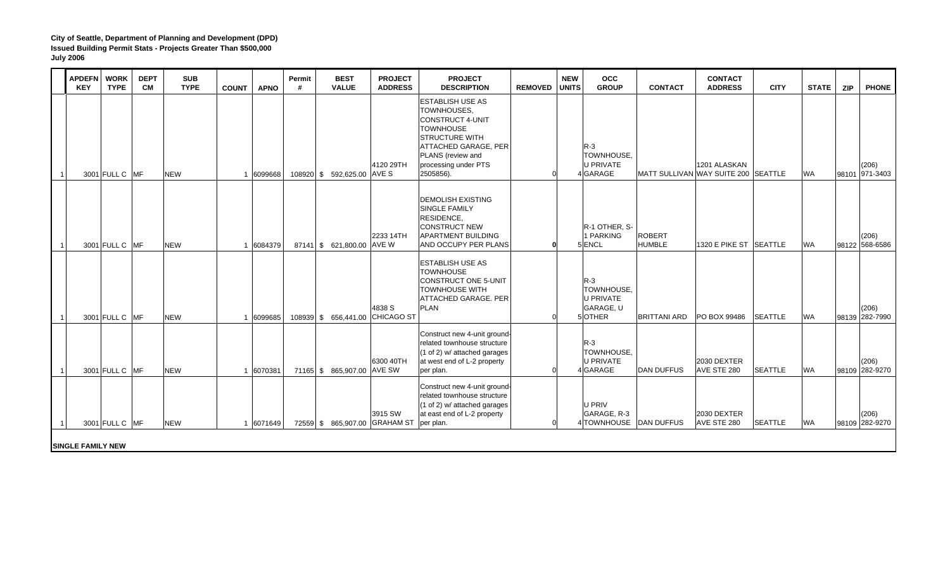| <b>APDEFN</b><br><b>KEY</b> | <b>WORK</b><br><b>TYPE</b> | <b>DEPT</b><br><b>CM</b> | <b>SUB</b><br><b>TYPE</b> | <b>COUNT</b> | <b>APNO</b> | Permit<br># | <b>BEST</b><br><b>VALUE</b>     | <b>PROJECT</b><br><b>ADDRESS</b> | <b>PROJECT</b><br><b>DESCRIPTION</b>                                                                                                                                                             | <b>REMOVED UNITS</b> | <b>NEW</b> | <b>OCC</b><br><b>GROUP</b>                                     | <b>CONTACT</b>                      | <b>CONTACT</b><br><b>ADDRESS</b>  | <b>CITY</b>    | <b>STATE</b> | <b>ZIP</b> | <b>PHONE</b>            |
|-----------------------------|----------------------------|--------------------------|---------------------------|--------------|-------------|-------------|---------------------------------|----------------------------------|--------------------------------------------------------------------------------------------------------------------------------------------------------------------------------------------------|----------------------|------------|----------------------------------------------------------------|-------------------------------------|-----------------------------------|----------------|--------------|------------|-------------------------|
|                             | 3001 FULL C MF             |                          | <b>NEW</b>                |              | 6099668     |             | 108920 \$ 592,625.00 AVE S      | 4120 29TH                        | <b>ESTABLISH USE AS</b><br>TOWNHOUSES,<br><b>CONSTRUCT 4-UNIT</b><br><b>TOWNHOUSE</b><br><b>STRUCTURE WITH</b><br>ATTACHED GARAGE, PER<br>PLANS (review and<br>processing under PTS<br>2505856). |                      |            | $R-3$<br>TOWNHOUSE,<br><b>U PRIVATE</b><br>4 GARAGE            | MATT SULLIVAN WAY SUITE 200 SEATTLE | 1201 ALASKAN                      |                | <b>WA</b>    | 98101      | (206)<br>971-3403       |
|                             | 3001 FULL C MF             |                          | <b>NEW</b>                |              | 6084379     |             | 87141 \$ 621,800.00 AVE W       | 2233 14TH                        | <b>DEMOLISH EXISTING</b><br><b>SINGLE FAMILY</b><br>RESIDENCE,<br><b>CONSTRUCT NEW</b><br><b>APARTMENT BUILDING</b><br>AND OCCUPY PER PLANS                                                      | ŋ                    |            | R-1 OTHER. S-<br>1 PARKING<br>5 ENCL                           | <b>ROBERT</b><br><b>HUMBLE</b>      | 1320 E PIKE ST SEATTLE            |                | <b>WA</b>    |            | (206)<br>98122 568-6586 |
|                             | 3001 FULL C MF             |                          | <b>NEW</b>                |              | 6099685     |             | 108939 \$ 656,441.00 CHICAGO ST | 4838 S                           | <b>ESTABLISH USE AS</b><br><b>TOWNHOUSE</b><br>CONSTRUCT ONE 5-UNIT<br><b>TOWNHOUSE WITH</b><br><b>ATTACHED GARAGE. PER</b><br>PLAN                                                              |                      |            | $R-3$<br><b>TOWNHOUSE.</b><br>U PRIVATE<br>GARAGE, U<br>5OTHER | <b>BRITTANI ARD</b>                 | PO BOX 99486                      | <b>SEATTLE</b> | <b>WA</b>    |            | (206)<br>98139 282-7990 |
|                             | 3001 FULL C MF             |                          | <b>NEW</b>                |              | 1 6070381   |             | 71165 \$ 865,907.00 AVE SW      | 6300 40TH                        | Construct new 4-unit ground-<br>related townhouse structure<br>(1 of 2) w/ attached garages<br>at west end of L-2 property<br>per plan.                                                          | ∩                    |            | $R-3$<br><b>TOWNHOUSE.</b><br><b>U PRIVATE</b><br>4 GARAGE     | <b>DAN DUFFUS</b>                   | <b>2030 DEXTER</b><br>AVE STE 280 | <b>SEATTLE</b> | <b>WA</b>    |            | (206)<br>98109 282-9270 |
|                             | 3001 FULL C MF             |                          | <b>NEW</b>                |              | 1 6071649   |             | 72559 \$ 865,907.00 GRAHAM ST   | 3915 SW                          | Construct new 4-unit ground-<br>related townhouse structure<br>(1 of 2) w/ attached garages<br>at east end of L-2 property<br>per plan.                                                          |                      |            | U PRIV<br>GARAGE, R-3<br>4 TOWNHOUSE DAN DUFFUS                |                                     | 2030 DEXTER<br>AVE STE 280        | <b>SEATTLE</b> | <b>WA</b>    |            | (206)<br>98109 282-9270 |